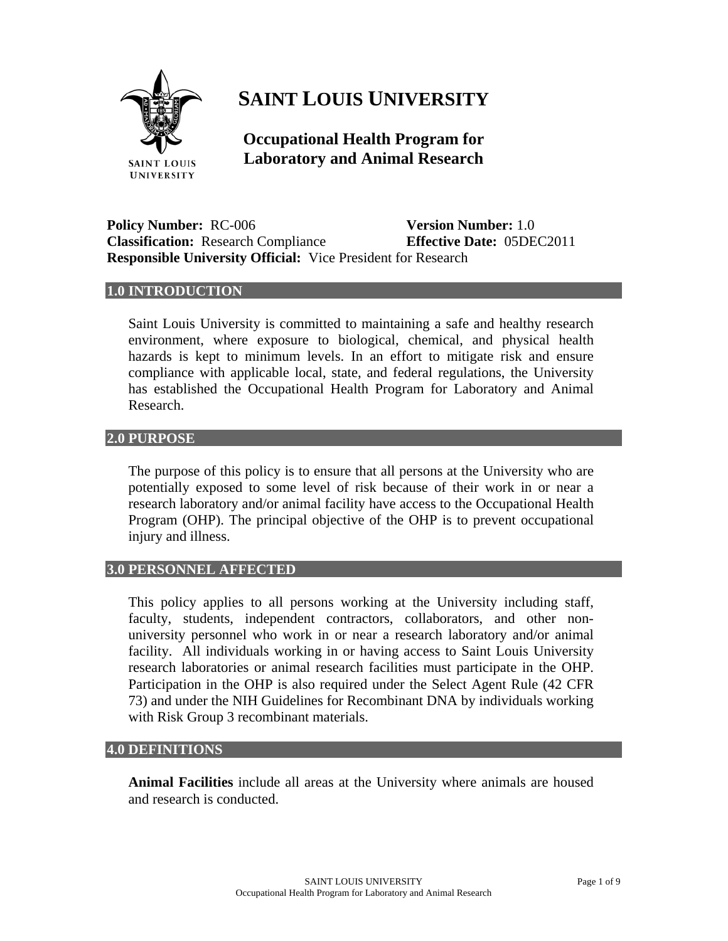

# **SAINT LOUIS UNIVERSITY**

**Occupational Health Program for Laboratory and Animal Research** 

**Policy Number:** RC-006 **Version Number:** 1.0 **Classification:** Research Compliance **Effective Date:** 05DEC2011 **Responsible University Official:** Vice President for Research

## **1.0 INTRODUCTION**

Saint Louis University is committed to maintaining a safe and healthy research environment, where exposure to biological, chemical, and physical health hazards is kept to minimum levels. In an effort to mitigate risk and ensure compliance with applicable local, state, and federal regulations, the University has established the Occupational Health Program for Laboratory and Animal Research.

# **2.0 PURPOSE**

The purpose of this policy is to ensure that all persons at the University who are potentially exposed to some level of risk because of their work in or near a research laboratory and/or animal facility have access to the Occupational Health Program (OHP). The principal objective of the OHP is to prevent occupational injury and illness.

## **3.0 PERSONNEL AFFECTED**

This policy applies to all persons working at the University including staff, faculty, students, independent contractors, collaborators, and other nonuniversity personnel who work in or near a research laboratory and/or animal facility. All individuals working in or having access to Saint Louis University research laboratories or animal research facilities must participate in the OHP. Participation in the OHP is also required under the Select Agent Rule (42 CFR 73) and under the NIH Guidelines for Recombinant DNA by individuals working with Risk Group 3 recombinant materials.

#### **4.0 DEFINITIONS**

**Animal Facilities** include all areas at the University where animals are housed and research is conducted.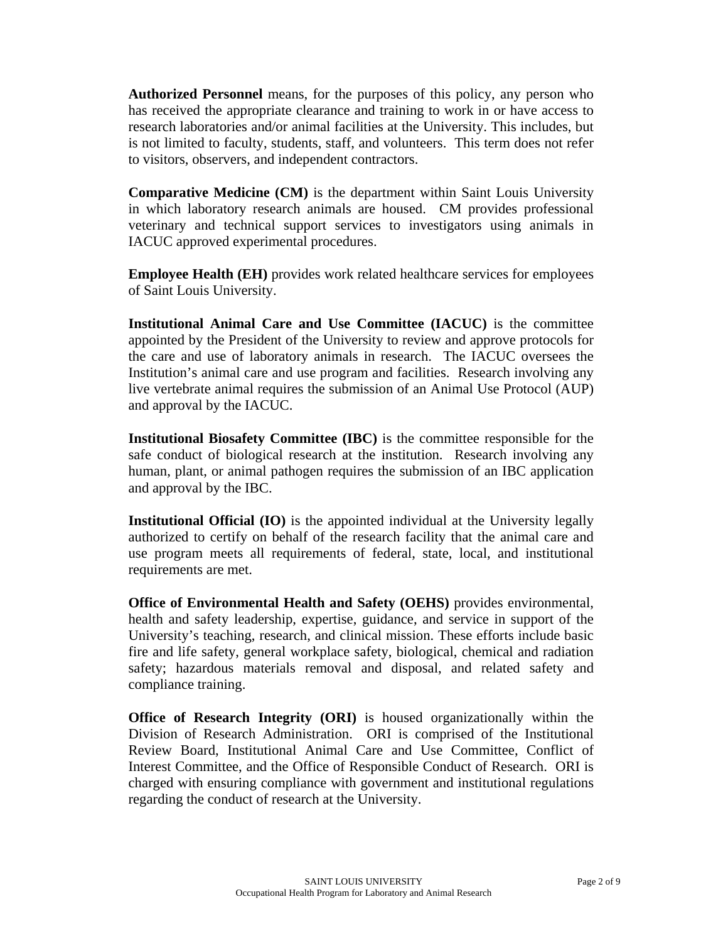**Authorized Personnel** means, for the purposes of this policy, any person who has received the appropriate clearance and training to work in or have access to research laboratories and/or animal facilities at the University. This includes, but is not limited to faculty, students, staff, and volunteers. This term does not refer to visitors, observers, and independent contractors.

**Comparative Medicine (CM)** is the department within Saint Louis University in which laboratory research animals are housed. CM provides professional veterinary and technical support services to investigators using animals in IACUC approved experimental procedures.

**Employee Health (EH)** provides work related healthcare services for employees of Saint Louis University.

**Institutional Animal Care and Use Committee (IACUC)** is the committee appointed by the President of the University to review and approve protocols for the care and use of laboratory animals in research. The IACUC oversees the Institution's animal care and use program and facilities. Research involving any live vertebrate animal requires the submission of an Animal Use Protocol (AUP) and approval by the IACUC.

**Institutional Biosafety Committee (IBC)** is the committee responsible for the safe conduct of biological research at the institution. Research involving any human, plant, or animal pathogen requires the submission of an IBC application and approval by the IBC.

**Institutional Official (IO)** is the appointed individual at the University legally authorized to certify on behalf of the research facility that the animal care and use program meets all requirements of federal, state, local, and institutional requirements are met.

**Office of Environmental Health and Safety (OEHS)** provides environmental, health and safety leadership, expertise, guidance, and service in support of the University's teaching, research, and clinical mission. These efforts include basic fire and life safety, general workplace safety, biological, chemical and radiation safety; hazardous materials removal and disposal, and related safety and compliance training.

**Office of Research Integrity (ORI)** is housed organizationally within the Division of Research Administration. ORI is comprised of the Institutional Review Board, Institutional Animal Care and Use Committee, Conflict of Interest Committee, and the Office of Responsible Conduct of Research. ORI is charged with ensuring compliance with government and institutional regulations regarding the conduct of research at the University.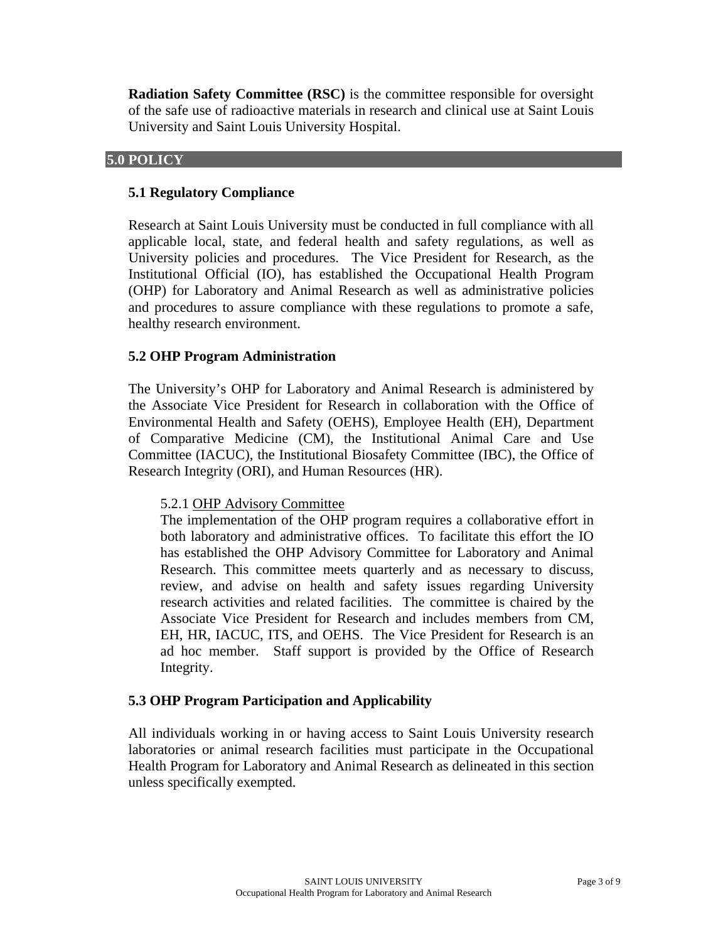**Radiation Safety Committee (RSC)** is the committee responsible for oversight of the safe use of radioactive materials in research and clinical use at Saint Louis University and Saint Louis University Hospital.

#### **5.0 POLICY**

## **5.1 Regulatory Compliance**

Research at Saint Louis University must be conducted in full compliance with all applicable local, state, and federal health and safety regulations, as well as University policies and procedures. The Vice President for Research, as the Institutional Official (IO), has established the Occupational Health Program (OHP) for Laboratory and Animal Research as well as administrative policies and procedures to assure compliance with these regulations to promote a safe, healthy research environment.

#### **5.2 OHP Program Administration**

The University's OHP for Laboratory and Animal Research is administered by the Associate Vice President for Research in collaboration with the Office of Environmental Health and Safety (OEHS), Employee Health (EH), Department of Comparative Medicine (CM), the Institutional Animal Care and Use Committee (IACUC), the Institutional Biosafety Committee (IBC), the Office of Research Integrity (ORI), and Human Resources (HR).

#### 5.2.1 OHP Advisory Committee

The implementation of the OHP program requires a collaborative effort in both laboratory and administrative offices. To facilitate this effort the IO has established the OHP Advisory Committee for Laboratory and Animal Research. This committee meets quarterly and as necessary to discuss, review, and advise on health and safety issues regarding University research activities and related facilities. The committee is chaired by the Associate Vice President for Research and includes members from CM, EH, HR, IACUC, ITS, and OEHS. The Vice President for Research is an ad hoc member. Staff support is provided by the Office of Research Integrity.

#### **5.3 OHP Program Participation and Applicability**

All individuals working in or having access to Saint Louis University research laboratories or animal research facilities must participate in the Occupational Health Program for Laboratory and Animal Research as delineated in this section unless specifically exempted.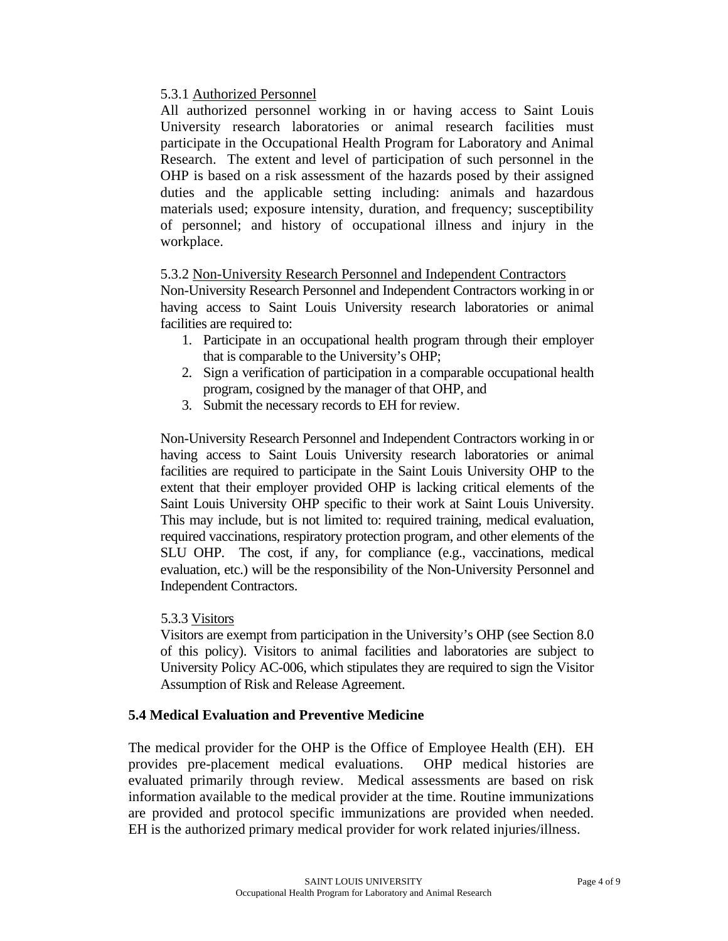# 5.3.1 Authorized Personnel

All authorized personnel working in or having access to Saint Louis University research laboratories or animal research facilities must participate in the Occupational Health Program for Laboratory and Animal Research. The extent and level of participation of such personnel in the OHP is based on a risk assessment of the hazards posed by their assigned duties and the applicable setting including: animals and hazardous materials used; exposure intensity, duration, and frequency; susceptibility of personnel; and history of occupational illness and injury in the workplace.

# 5.3.2 Non-University Research Personnel and Independent Contractors

Non-University Research Personnel and Independent Contractors working in or having access to Saint Louis University research laboratories or animal facilities are required to:

- 1. Participate in an occupational health program through their employer that is comparable to the University's OHP;
- 2. Sign a verification of participation in a comparable occupational health program, cosigned by the manager of that OHP, and
- 3. Submit the necessary records to EH for review.

Non-University Research Personnel and Independent Contractors working in or having access to Saint Louis University research laboratories or animal facilities are required to participate in the Saint Louis University OHP to the extent that their employer provided OHP is lacking critical elements of the Saint Louis University OHP specific to their work at Saint Louis University. This may include, but is not limited to: required training, medical evaluation, required vaccinations, respiratory protection program, and other elements of the SLU OHP. The cost, if any, for compliance (e.g., vaccinations, medical evaluation, etc.) will be the responsibility of the Non-University Personnel and Independent Contractors.

# 5.3.3 Visitors

Visitors are exempt from participation in the University's OHP (see Section 8.0 of this policy). Visitors to animal facilities and laboratories are subject to University Policy AC-006, which stipulates they are required to sign the Visitor Assumption of Risk and Release Agreement.

# **5.4 Medical Evaluation and Preventive Medicine**

The medical provider for the OHP is the Office of Employee Health (EH). EH provides pre-placement medical evaluations. OHP medical histories are evaluated primarily through review. Medical assessments are based on risk information available to the medical provider at the time. Routine immunizations are provided and protocol specific immunizations are provided when needed. EH is the authorized primary medical provider for work related injuries/illness.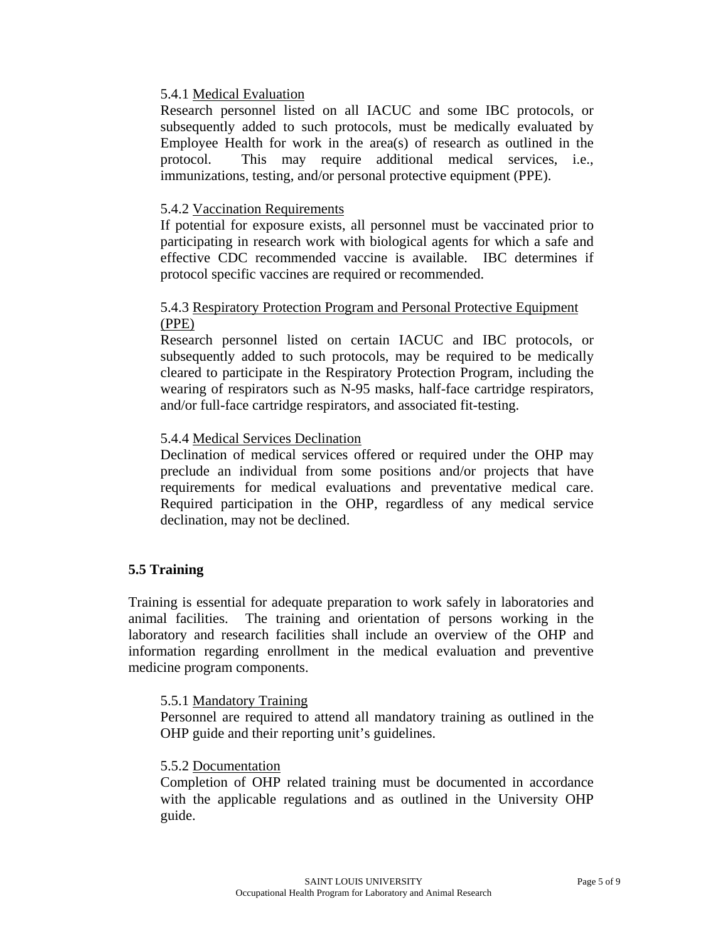## 5.4.1 Medical Evaluation

Research personnel listed on all IACUC and some IBC protocols, or subsequently added to such protocols, must be medically evaluated by Employee Health for work in the area(s) of research as outlined in the protocol. This may require additional medical services, i.e., immunizations, testing, and/or personal protective equipment (PPE).

# 5.4.2 Vaccination Requirements

If potential for exposure exists, all personnel must be vaccinated prior to participating in research work with biological agents for which a safe and effective CDC recommended vaccine is available. IBC determines if protocol specific vaccines are required or recommended.

# 5.4.3 Respiratory Protection Program and Personal Protective Equipment (PPE)

Research personnel listed on certain IACUC and IBC protocols, or subsequently added to such protocols, may be required to be medically cleared to participate in the Respiratory Protection Program, including the wearing of respirators such as N-95 masks, half-face cartridge respirators, and/or full-face cartridge respirators, and associated fit-testing.

# 5.4.4 Medical Services Declination

Declination of medical services offered or required under the OHP may preclude an individual from some positions and/or projects that have requirements for medical evaluations and preventative medical care. Required participation in the OHP, regardless of any medical service declination, may not be declined.

# **5.5 Training**

Training is essential for adequate preparation to work safely in laboratories and animal facilities. The training and orientation of persons working in the laboratory and research facilities shall include an overview of the OHP and information regarding enrollment in the medical evaluation and preventive medicine program components.

## 5.5.1 Mandatory Training

Personnel are required to attend all mandatory training as outlined in the OHP guide and their reporting unit's guidelines.

## 5.5.2 Documentation

Completion of OHP related training must be documented in accordance with the applicable regulations and as outlined in the University OHP guide.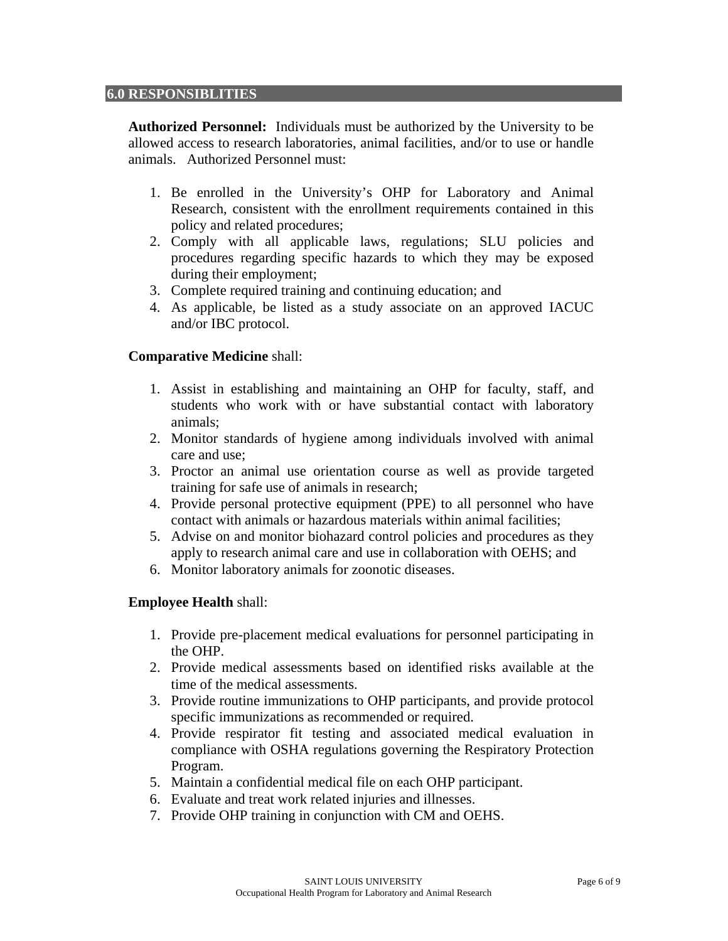#### **6.0 RESPONSIBLITIES**

**Authorized Personnel:** Individuals must be authorized by the University to be allowed access to research laboratories, animal facilities, and/or to use or handle animals. Authorized Personnel must:

- 1. Be enrolled in the University's OHP for Laboratory and Animal Research, consistent with the enrollment requirements contained in this policy and related procedures;
- 2. Comply with all applicable laws, regulations; SLU policies and procedures regarding specific hazards to which they may be exposed during their employment;
- 3. Complete required training and continuing education; and
- 4. As applicable, be listed as a study associate on an approved IACUC and/or IBC protocol.

#### **Comparative Medicine** shall:

- 1. Assist in establishing and maintaining an OHP for faculty, staff, and students who work with or have substantial contact with laboratory animals;
- 2. Monitor standards of hygiene among individuals involved with animal care and use;
- 3. Proctor an animal use orientation course as well as provide targeted training for safe use of animals in research;
- 4. Provide personal protective equipment (PPE) to all personnel who have contact with animals or hazardous materials within animal facilities;
- 5. Advise on and monitor biohazard control policies and procedures as they apply to research animal care and use in collaboration with OEHS; and
- 6. Monitor laboratory animals for zoonotic diseases.

## **Employee Health** shall:

- 1. Provide pre-placement medical evaluations for personnel participating in the OHP.
- 2. Provide medical assessments based on identified risks available at the time of the medical assessments.
- 3. Provide routine immunizations to OHP participants, and provide protocol specific immunizations as recommended or required.
- 4. Provide respirator fit testing and associated medical evaluation in compliance with OSHA regulations governing the Respiratory Protection Program.
- 5. Maintain a confidential medical file on each OHP participant.
- 6. Evaluate and treat work related injuries and illnesses.
- 7. Provide OHP training in conjunction with CM and OEHS.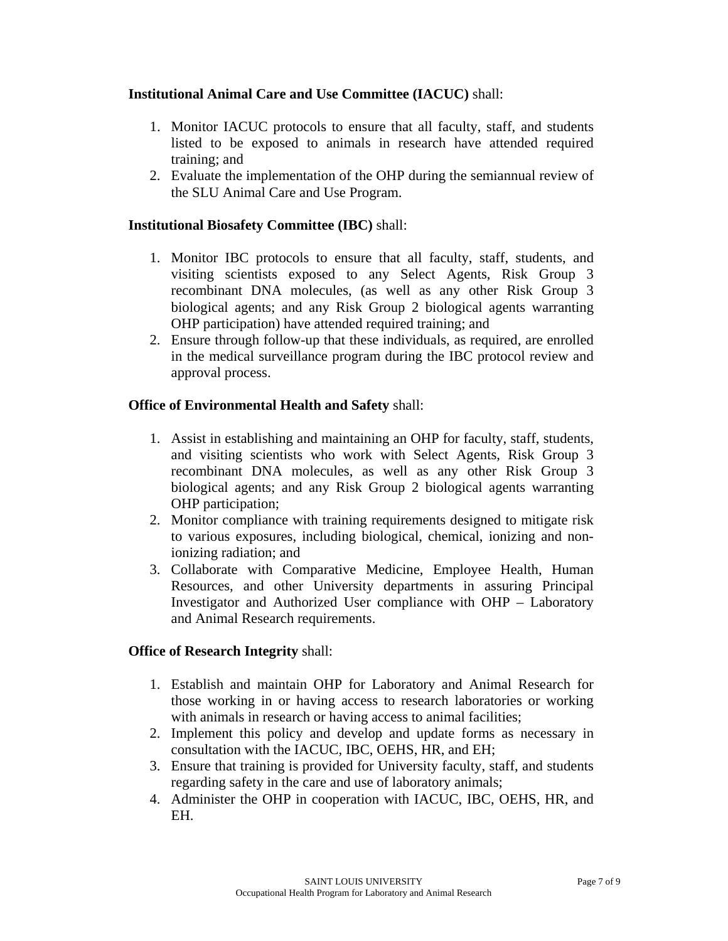# **Institutional Animal Care and Use Committee (IACUC)** shall:

- 1. Monitor IACUC protocols to ensure that all faculty, staff, and students listed to be exposed to animals in research have attended required training; and
- 2. Evaluate the implementation of the OHP during the semiannual review of the SLU Animal Care and Use Program.

# **Institutional Biosafety Committee (IBC)** shall:

- 1. Monitor IBC protocols to ensure that all faculty, staff, students, and visiting scientists exposed to any Select Agents, Risk Group 3 recombinant DNA molecules, (as well as any other Risk Group 3 biological agents; and any Risk Group 2 biological agents warranting OHP participation) have attended required training; and
- 2. Ensure through follow-up that these individuals, as required, are enrolled in the medical surveillance program during the IBC protocol review and approval process.

# **Office of Environmental Health and Safety** shall:

- 1. Assist in establishing and maintaining an OHP for faculty, staff, students, and visiting scientists who work with Select Agents, Risk Group 3 recombinant DNA molecules, as well as any other Risk Group 3 biological agents; and any Risk Group 2 biological agents warranting OHP participation;
- 2. Monitor compliance with training requirements designed to mitigate risk to various exposures, including biological, chemical, ionizing and nonionizing radiation; and
- 3. Collaborate with Comparative Medicine, Employee Health, Human Resources, and other University departments in assuring Principal Investigator and Authorized User compliance with OHP – Laboratory and Animal Research requirements.

## **Office of Research Integrity** shall:

- 1. Establish and maintain OHP for Laboratory and Animal Research for those working in or having access to research laboratories or working with animals in research or having access to animal facilities;
- 2. Implement this policy and develop and update forms as necessary in consultation with the IACUC, IBC, OEHS, HR, and EH;
- 3. Ensure that training is provided for University faculty, staff, and students regarding safety in the care and use of laboratory animals;
- 4. Administer the OHP in cooperation with IACUC, IBC, OEHS, HR, and EH.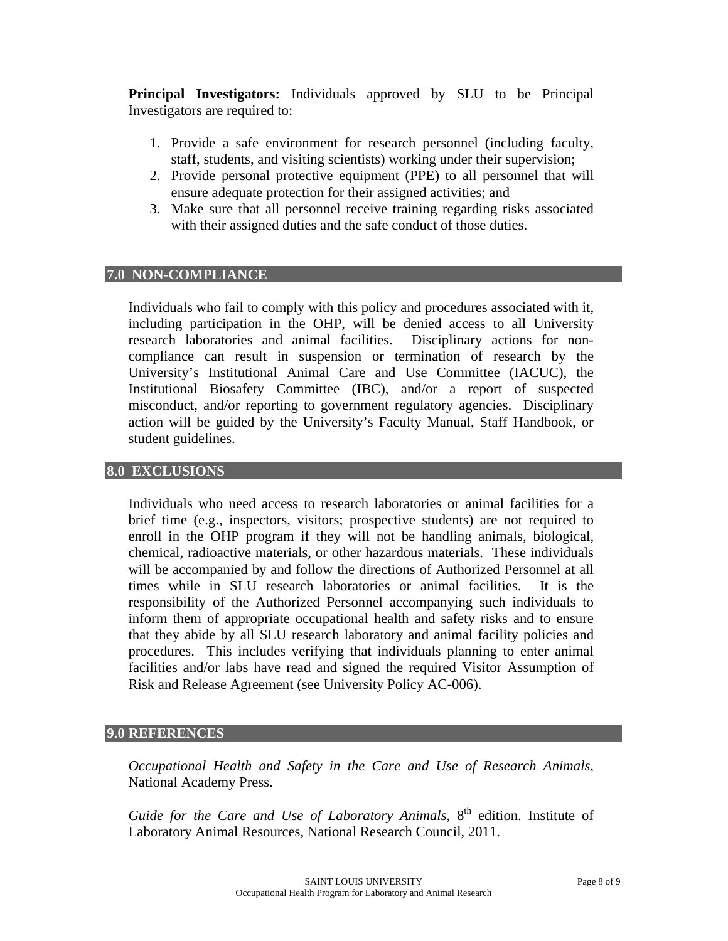**Principal Investigators:** Individuals approved by SLU to be Principal Investigators are required to:

- 1. Provide a safe environment for research personnel (including faculty, staff, students, and visiting scientists) working under their supervision;
- 2. Provide personal protective equipment (PPE) to all personnel that will ensure adequate protection for their assigned activities; and
- 3. Make sure that all personnel receive training regarding risks associated with their assigned duties and the safe conduct of those duties.

#### **7.0 NON-COMPLIANCE**

Individuals who fail to comply with this policy and procedures associated with it, including participation in the OHP, will be denied access to all University research laboratories and animal facilities. Disciplinary actions for noncompliance can result in suspension or termination of research by the University's Institutional Animal Care and Use Committee (IACUC), the Institutional Biosafety Committee (IBC), and/or a report of suspected misconduct, and/or reporting to government regulatory agencies. Disciplinary action will be guided by the University's Faculty Manual, Staff Handbook, or student guidelines.

#### **8.0 EXCLUSIONS**

Individuals who need access to research laboratories or animal facilities for a brief time (e.g., inspectors, visitors; prospective students) are not required to enroll in the OHP program if they will not be handling animals, biological, chemical, radioactive materials, or other hazardous materials. These individuals will be accompanied by and follow the directions of Authorized Personnel at all times while in SLU research laboratories or animal facilities. It is the responsibility of the Authorized Personnel accompanying such individuals to inform them of appropriate occupational health and safety risks and to ensure that they abide by all SLU research laboratory and animal facility policies and procedures. This includes verifying that individuals planning to enter animal facilities and/or labs have read and signed the required Visitor Assumption of Risk and Release Agreement (see University Policy AC-006).

#### **9.0 REFERENCES**

*Occupational Health and Safety in the Care and Use of Research Animals*, National Academy Press.

Guide for the Care and Use of Laboratory Animals, 8<sup>th</sup> edition. Institute of Laboratory Animal Resources, National Research Council, 2011.